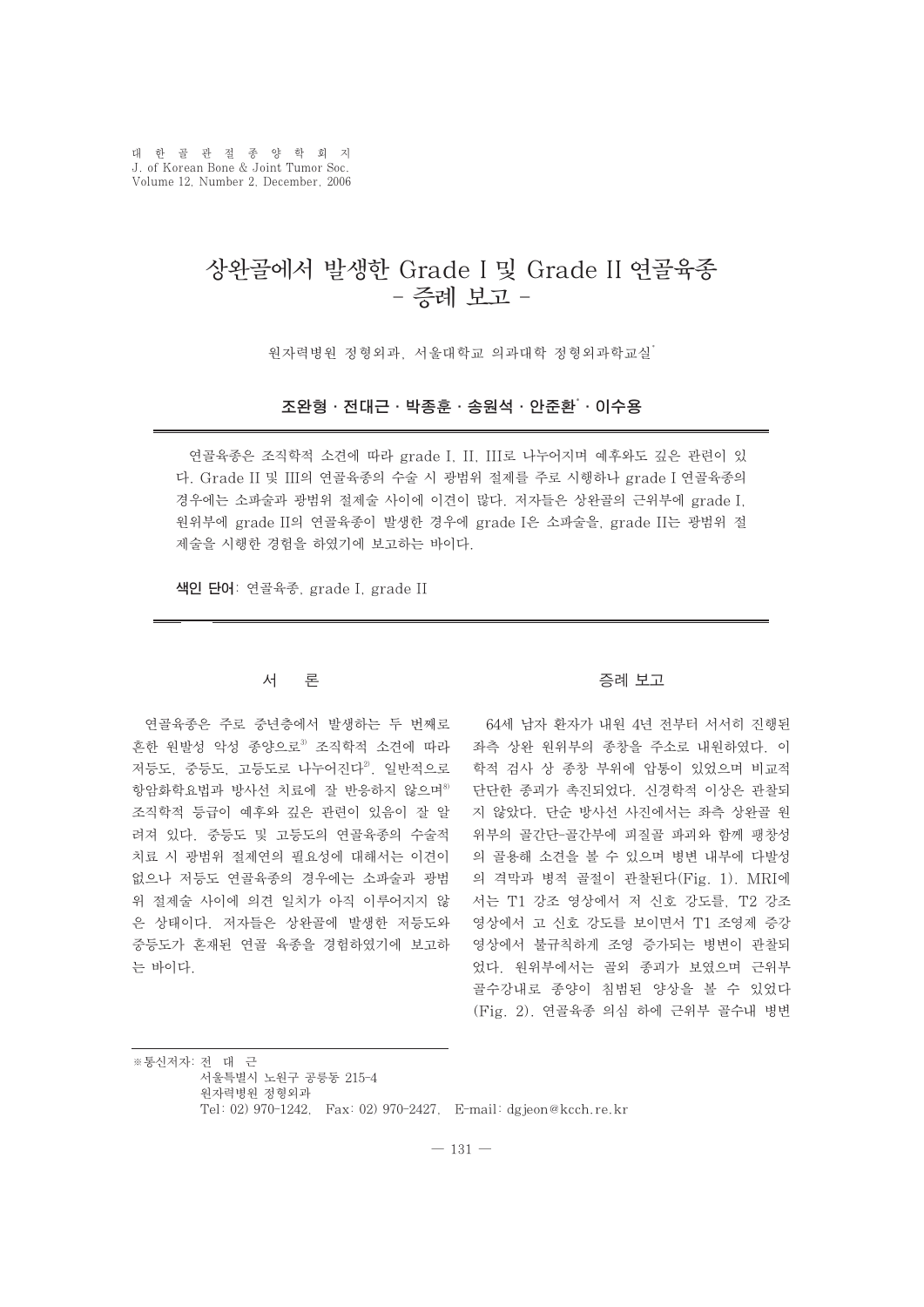대한골관절종양학회지 J. of Korean Bone & Joint Tumor Soc. Volume 12, Number 2, December, 2006

# 상완골에서 발생한 Grade I 및 Grade II 연골육종 - 증례 보고 -

원자력병원 정형외과 서울대학교 의과대학 정형외과학교실\*

## 조완형∙전대근∙박종훈∙송원석∙안준환\* ∙이수용

연골육종은 조직학적 소견에 따라 grade I, II, III로 나누어지며 예후와도 깊은 관련이 있 다. Grade II 및 III의 연골육종의 수술 시 광범위 절제를 주로 시행하나 grade I 연골육종의 경우에는 소파술과 광범위 절제술 사이에 이견이 많다. 저자들은 상완골의 근위부에 grade I, 원위부에 grade II의 연골육종이 발생한 경우에 grade I은 소파술을, grade II는 광범위 절 제술을 시행한 경험을 하였기에 보고하는 바이다.

색인 단어: 연골육종, grade I, grade II

## 서 론

연골육종은 주로 중년층에서 발생하는 두 번째로 흔한 원발성 악성 종양으로3 조직학적 소견에 따라 저등도, 중등도, 고등도로 나누어진다2. 일반적으로 항암화학요법과 방사선 치료에 잘 반응하지 않으며8) 조직학적 등급이 예후와 깊은 관련이 있음이 잘 알 려져 있다. 중등도 및 고등도의 연골육종의 수술적 치료 시 광범위 절제연의 필요성에 대해서는 이견이 없으나 저등도 연골육종의 경우에는 소파술과 광범 위 절제술 사이에 의견 일치가 아직 이루어지지 않 은 상태이다. 저자들은 상완골에 발생한 저등도와 중등도가 혼재된 연골 육종을 경험하였기에 보고하 는 바이다.

#### 증례 보고

64세 남자 환자가 내원 4년 전부터 서서히 진행된 좌측 상완 원위부의 종창을 주소로 내원하였다. 이 학적 검사 상 종창 부위에 압통이 있었으며 비교적 단단한 종괴가 촉진되었다. 신경학적 이상은 관찰되 지 않았다. 단순 방사선 사진에서는 좌측 상완골 원 위부의 골간단-골간부에 피질골 파괴와 함께 팽창성 의 골용해 소견을 볼 수 있으며 병변 내부에 다발성 의 격막과 병적 골절이 관찰된다(Fig. 1). MRI에 서는 T1 강조 영상에서 저 신호 강도를, T2 강조 영상에서 고 신호 강도를 보이면서 T1 조영제 증강 영상에서 불규칙하게 조영 증가되는 병변이 관찰되 었다. 원위부에서는 골외 종괴가 보였으며 근위부 골수강내로 종양이 침범된 양상을 볼 수 있었다 (Fig. 2). 연골육종 의심 하에 근위부 골수내 병변

※통신저자: 전 대 근 서울특별시 노원구 공릉동 215-4 원자력병원 정형외과 Tel: 02) 970-1242, Fax: 02) 970-2427, E-mail: dgjeon@kcch.re.kr

 $-131 -$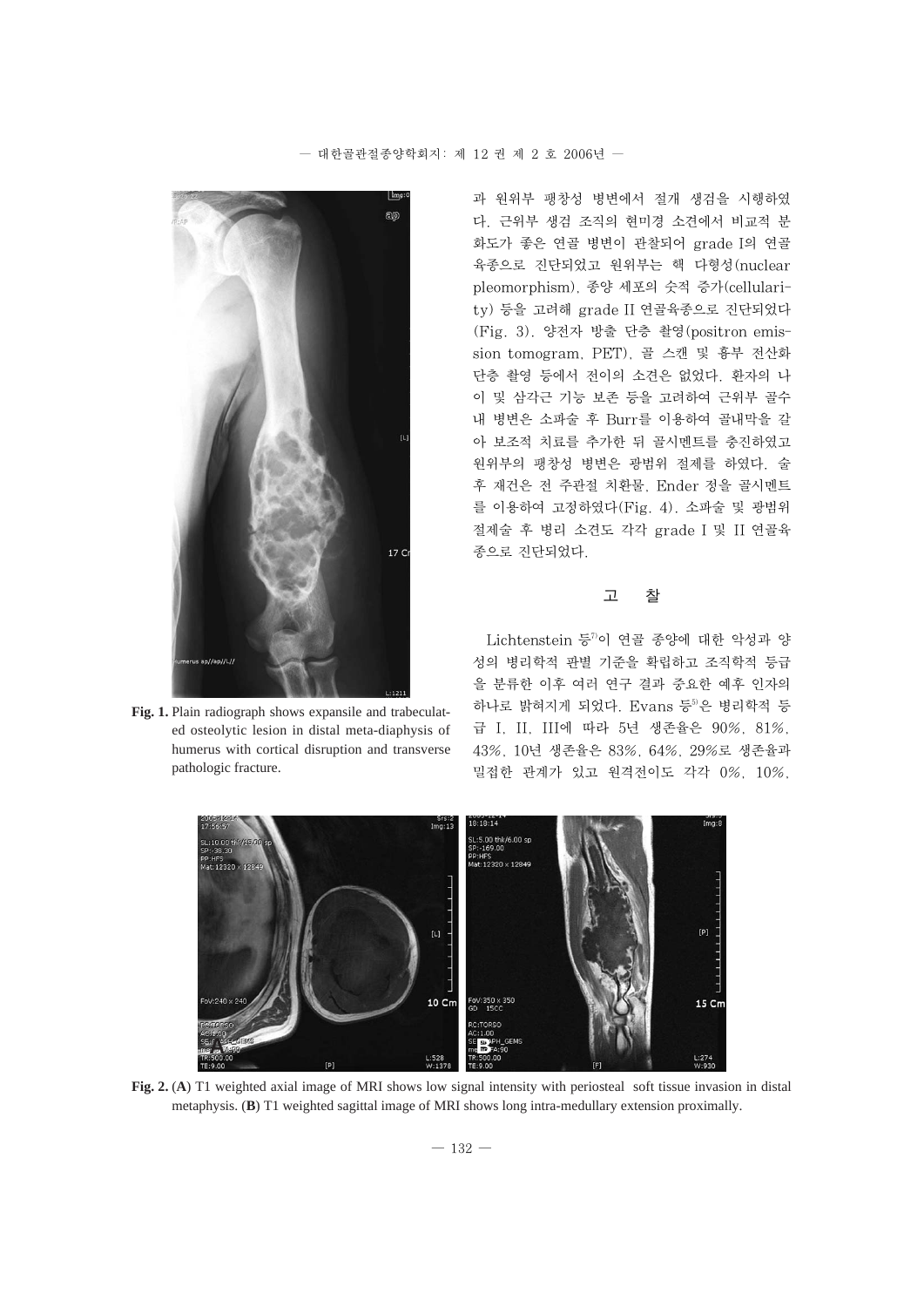

**Fig. 1.** Plain radiograph shows expansile and trabeculated osteolytic lesion in distal meta-diaphysis of humerus with cortical disruption and transverse pathologic fracture.

과 원위부 팽창성 병변에서 절개 생검을 시행하였 다. 근위부 생검 조직의 현미경 소견에서 비교적 분 화도가 좋은 연골 병변이 관찰되어 grade I의 연골 육종으로 진단되었고 원위부는 핵 다형성(nuclear pleomorphism), 종양 세포의 숫적 증가(cellularity) 등을 고려해 grade II 연골육종으로 진단되었다 (Fig. 3). 양전자 방출 단층 촬영(positron emission tomogram, PET), 골 스캔 및 흉부 전산화 단층 촬영 등에서 전이의 소견은 없었다. 환자의 나 이 및 삼각근 기능 보존 등을 고려하여 근위부 골수 내 병변은 소파술 후 Burr를 이용하여 골내막을 갈 아 보조적 치료를 추가한 뒤 골시멘트를 충진하였고 원위부의 팽창성 병변은 광범위 절제를 하였다. 술 후 재건은 전 주관절 치환물, Ender 정을 골시멘트 를 이용하여 고정하였다(Fig. 4). 소파술 및 광범위 절제술 후 병리 소견도 각각 grade I 및 II 연골육 종으로 진단되었다.

## 고 찰

Lichtenstein 등 $7$ 이 연골 종양에 대한 악성과 양 성의 병리학적 판별 기준을 확립하고 조직학적 등급 을 분류한 이후 여러 연구 결과 중요한 예후 인자의 하나로 밝혀지게 되었다. Evans 등 이은 병리학적 등 급 I, II, III에 따라 5년 생존율은 90%, 81%, 43%, 10년 생존율은 83%, 64%, 29%로 생존율과 밀접한 관계가 있고 원격전이도 각각 0%, 10%,



**Fig. 2.** (**A**) T1 weighted axial image of MRI shows low signal intensity with periosteal soft tissue invasion in distal metaphysis. (**B**) T1 weighted sagittal image of MRI shows long intra-medullary extension proximally.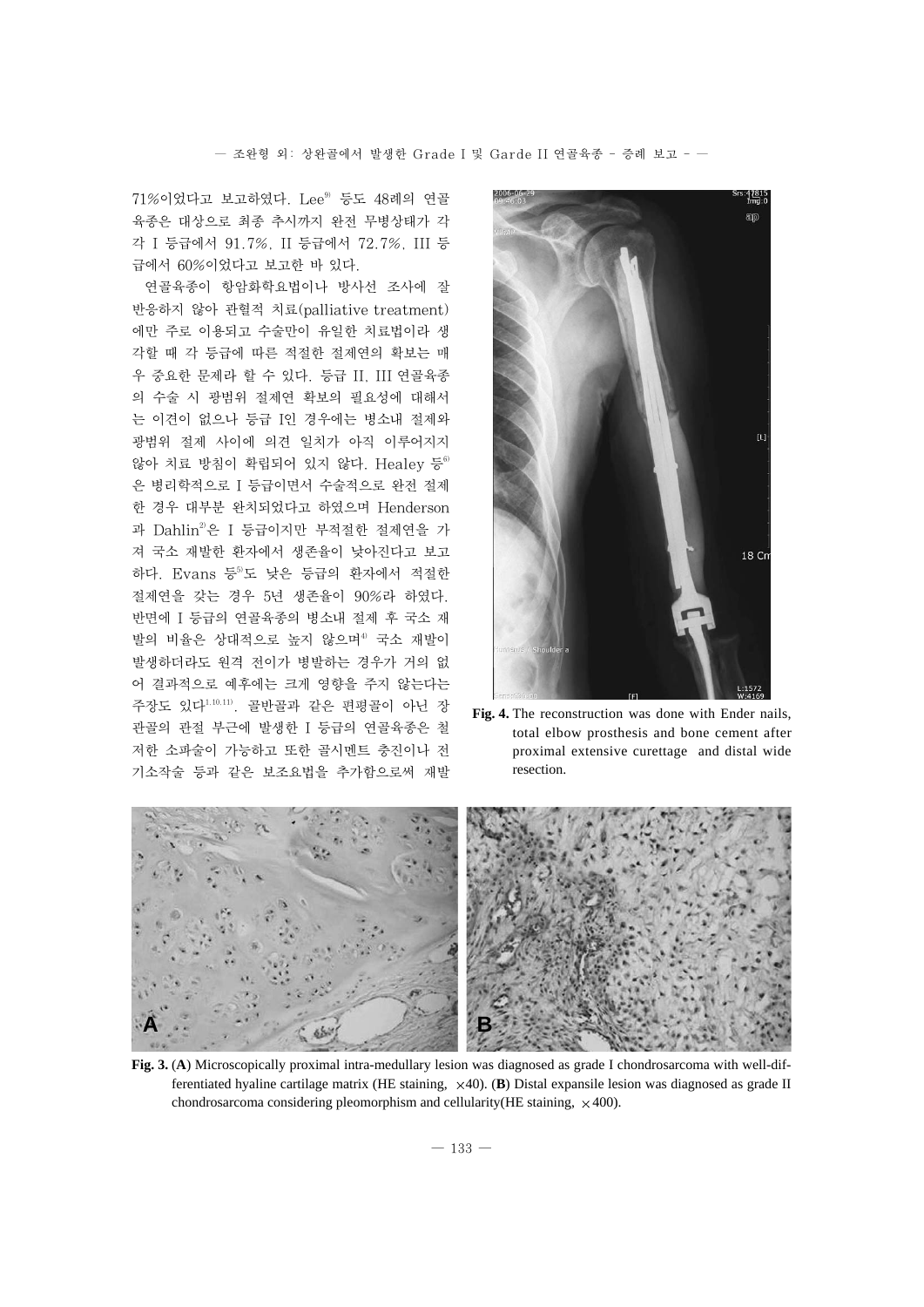$71\%$ 이었다고 보고하였다. Lee $^{9}$  등도 48례의 연골 육종은 대상으로 최종 추시까지 완전 무병상태가 각 각 I 등급에서 91.7%, II 등급에서 72.7%, III 등 급에서 60%이었다고 보고한 바 있다.

연골육종이 항암화학요법이나 방사선 조사에 잘 반응하지 않아 관혈적 치료(palliative treatment) 에만 주로 이용되고 수술만이 유일한 치료법이라 생 각할 때 각 등급에 따른 적절한 절제연의 확보는 매 우 중요한 문제라 할 수 있다. 등급 II, III 연골육종 의 수술 시 광범위 절제연 확보의 필요성에 대해서 는 이견이 없으나 등급 I인 경우에는 병소내 절제와 광범위 절제 사이에 의견 일치가 아직 이루어지지 않아 치료 방침이 확립되어 있지 않다. Healey 등 $^{6}$ 은 병리학적으로 I 등급이면서 수술적으로 완전 절제 한 경우 대부분 완치되었다고 하였으며 Henderson 과 Dahlin<sup>2</sup>은 I 등급이지만 부적절한 절제연을 가 져 국소 재발한 환자에서 생존율이 낮아진다고 보고 하다. Evans 등 도 낮은 등급의 환자에서 적절한 절제연을 갖는 경우 5년 생존율이 90%라 하였다. 반면에 I 등급의 연골육종의 병소내 절제 후 국소 재 발의 비율은 상대적으로 높지 않으며<sup>4</sup> 국소 재발이 발생하더라도 원격 전이가 병발하는 경우가 거의 없 어 결과적으로 예후에는 크게 영향을 주지 않는다는 주장도 있다1,10,11). 골반골과 같은 편평골이 아닌 장 관골의 관절 부근에 발생한 I 등급의 연골육종은 철 저한 소파술이 가능하고 또한 골시멘트 충진이나 전 기소작술 등과 같은 보조요법을 추가함으로써 재발



**Fig. 4.** The reconstruction was done with Ender nails, total elbow prosthesis and bone cement after proximal extensive curettage and distal wide resection.



**Fig. 3.** (**A**) Microscopically proximal intra-medullary lesion was diagnosed as grade I chondrosarcoma with well-differentiated hyaline cartilage matrix (HE staining, 40). (**B**) Distal expansile lesion was diagnosed as grade II chondrosarcoma considering pleomorphism and cellularity (HE staining,  $\times$  400).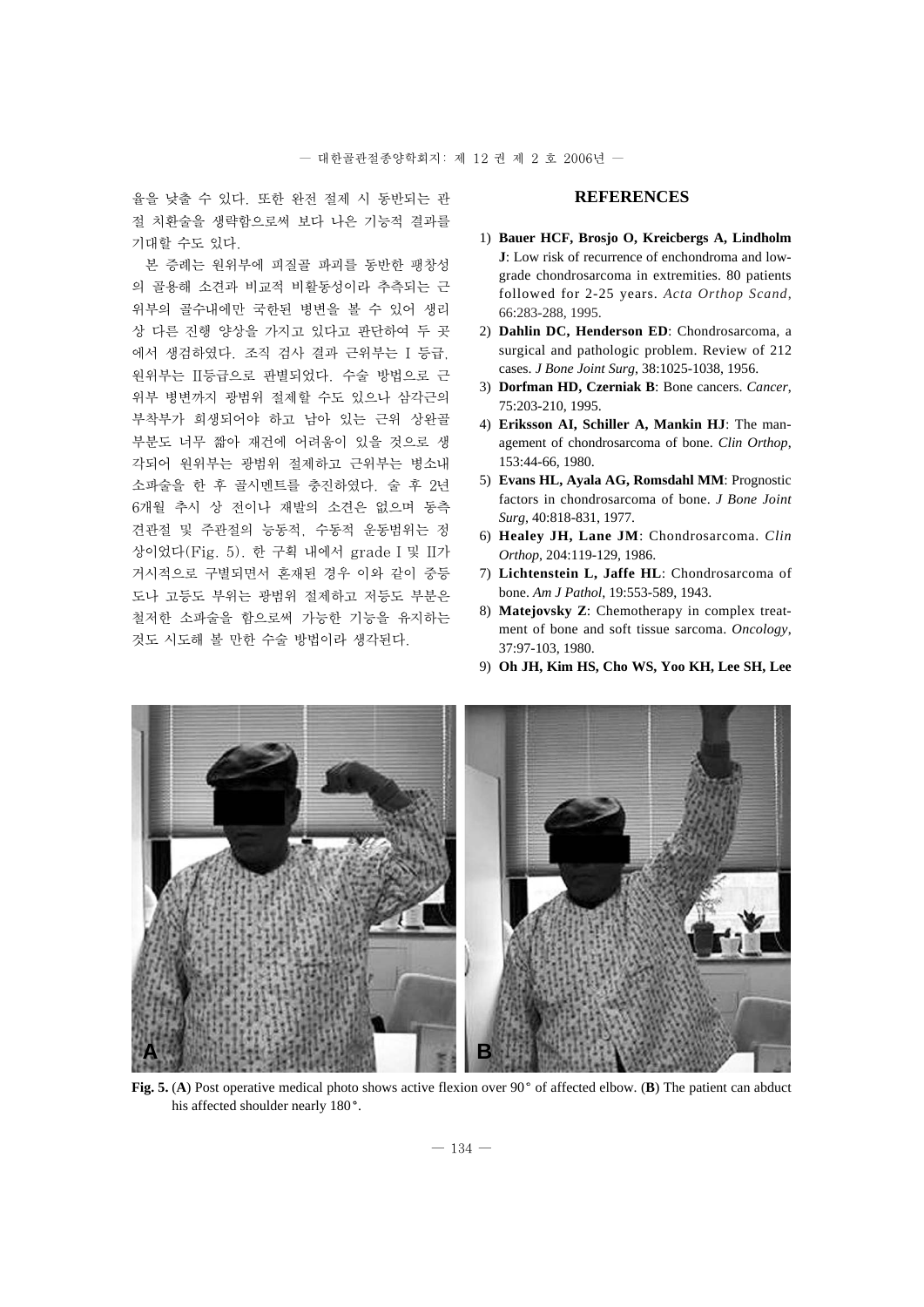율을 낮출 수 있다. 또한 완전 절제 시 동반되는 관 절 치환술을 생략함으로써 보다 나은 기능적 결과를 기대할 수도 있다.

본 증례는 원위부에 피질골 파괴를 동반한 팽창성 의 골용해 소견과 비교적 비활동성이라 추측되는 근 위부의 골수내에만 국한된 병변을 볼 수 있어 생리 상 다른 진행 양상을 가지고 있다고 판단하여 두 곳 에서 생검하였다. 조직 검사 결과 근위부는 I 등급, 원위부는 II등급으로 판별되었다. 수술 방법으로 근 위부 병변까지 광범위 절제할 수도 있으나 삼각근의 부착부가 희생되어야 하고 남아 있는 근위 상완골 부분도 너무 짧아 재건에 어려움이 있을 것으로 생 각되어 원위부는 광범위 절제하고 근위부는 병소내 소파술을 한 후 골시멘트를 충진하였다. 술 후 2년 6개월 추시 상 전이나 재발의 소견은 없으며 동측 견관절 및 주관절의 능동적, 수동적 운동범위는 정 상이었다(Fig. 5). 한 구획 내에서 grade I 및 II가 거시적으로 구별되면서 혼재된 경우 이와 같이 중등 도나 고등도 부위는 광범위 절제하고 저등도 부분은 철저한 소파술을 함으로써 가능한 기능을 유지하는 것도 시도해 볼 만한 수술 방법이라 생각된다.

## **REFERENCES**

- 01) **Bauer HCF, Brosjo O, Kreicbergs A, Lindholm J**: Low risk of recurrence of enchondroma and lowgrade chondrosarcoma in extremities. 80 patients followed for 2-25 years. *Acta Orthop Scand*, 66:283-288, 1995.
- 02) **Dahlin DC, Henderson ED**: Chondrosarcoma, a surgical and pathologic problem. Review of 212 cases. *J Bone Joint Surg*, 38:1025-1038, 1956.
- 03) **Dorfman HD, Czerniak B**: Bone cancers. *Cancer*, 75:203-210, 1995.
- 04) **Eriksson AI, Schiller A, Mankin HJ**: The management of chondrosarcoma of bone. *Clin Orthop*, 153:44-66, 1980.
- 05) **Evans HL, Ayala AG, Romsdahl MM**: Prognostic factors in chondrosarcoma of bone. *J Bone Joint Surg*, 40:818-831, 1977.
- 06) **Healey JH, Lane JM**: Chondrosarcoma. *Clin Orthop*, 204:119-129, 1986.
- 07) **Lichtenstein L, Jaffe HL**: Chondrosarcoma of bone. *Am J Pathol*, 19:553-589, 1943.
- 08) **Matejovsky Z**: Chemotherapy in complex treatment of bone and soft tissue sarcoma. *Oncology*, 37:97-103, 1980.
- 09) **Oh JH, Kim HS, Cho WS, Yoo KH, Lee SH, Lee**



**Fig. 5. (A)** Post operative medical photo shows active flexion over 90° of affected elbow. (**B**) The patient can abduct his affected shoulder nearly 180°.